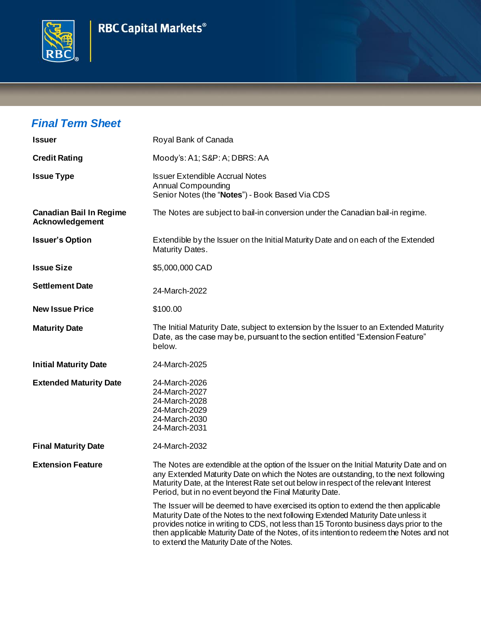



## *Final Term Sheet*

| <b>Issuer</b>                                            | Royal Bank of Canada                                                                                                                                                                                                                                                                                                                                                                                         |
|----------------------------------------------------------|--------------------------------------------------------------------------------------------------------------------------------------------------------------------------------------------------------------------------------------------------------------------------------------------------------------------------------------------------------------------------------------------------------------|
| <b>Credit Rating</b>                                     | Moody's: A1; S&P: A; DBRS: AA                                                                                                                                                                                                                                                                                                                                                                                |
| <b>Issue Type</b>                                        | <b>Issuer Extendible Accrual Notes</b><br><b>Annual Compounding</b><br>Senior Notes (the "Notes") - Book Based Via CDS                                                                                                                                                                                                                                                                                       |
| <b>Canadian Bail In Regime</b><br><b>Acknowledgement</b> | The Notes are subject to bail-in conversion under the Canadian bail-in regime.                                                                                                                                                                                                                                                                                                                               |
| <b>Issuer's Option</b>                                   | Extendible by the Issuer on the Initial Maturity Date and on each of the Extended<br>Maturity Dates.                                                                                                                                                                                                                                                                                                         |
| <b>Issue Size</b>                                        | \$5,000,000 CAD                                                                                                                                                                                                                                                                                                                                                                                              |
| <b>Settlement Date</b>                                   | 24-March-2022                                                                                                                                                                                                                                                                                                                                                                                                |
| <b>New Issue Price</b>                                   | \$100.00                                                                                                                                                                                                                                                                                                                                                                                                     |
| <b>Maturity Date</b>                                     | The Initial Maturity Date, subject to extension by the Issuer to an Extended Maturity<br>Date, as the case may be, pursuant to the section entitled "Extension Feature"<br>below.                                                                                                                                                                                                                            |
| <b>Initial Maturity Date</b>                             | 24-March-2025                                                                                                                                                                                                                                                                                                                                                                                                |
| <b>Extended Maturity Date</b>                            | 24-March-2026<br>24-March-2027<br>24-March-2028<br>24-March-2029<br>24-March-2030<br>24-March-2031                                                                                                                                                                                                                                                                                                           |
| <b>Final Maturity Date</b>                               | 24-March-2032                                                                                                                                                                                                                                                                                                                                                                                                |
| <b>Extension Feature</b>                                 | The Notes are extendible at the option of the Issuer on the Initial Maturity Date and on<br>any Extended Maturity Date on which the Notes are outstanding, to the next following<br>Maturity Date, at the Interest Rate set out below in respect of the relevant Interest<br>Period, but in no event beyond the Final Maturity Date.                                                                         |
|                                                          | The Issuer will be deemed to have exercised its option to extend the then applicable<br>Maturity Date of the Notes to the next following Extended Maturity Date unless it<br>provides notice in writing to CDS, not less than 15 Toronto business days prior to the<br>then applicable Maturity Date of the Notes, of its intention to redeem the Notes and not<br>to extend the Maturity Date of the Notes. |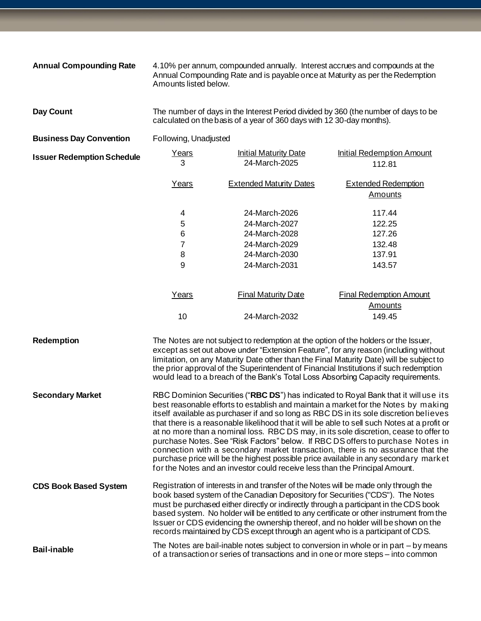| <b>Annual Compounding Rate</b>    | Amounts listed below.                                                                                                                                                                                                                                                                                                                                                                                                                                                                                                                                                                                                                                                                                                                                                                                   | 4.10% per annum, compounded annually. Interest accrues and compounds at the<br>Annual Compounding Rate and is payable once at Maturity as per the Redemption                                                                                                                                                                                      |                                                                                                                                                                                                                                                                          |
|-----------------------------------|---------------------------------------------------------------------------------------------------------------------------------------------------------------------------------------------------------------------------------------------------------------------------------------------------------------------------------------------------------------------------------------------------------------------------------------------------------------------------------------------------------------------------------------------------------------------------------------------------------------------------------------------------------------------------------------------------------------------------------------------------------------------------------------------------------|---------------------------------------------------------------------------------------------------------------------------------------------------------------------------------------------------------------------------------------------------------------------------------------------------------------------------------------------------|--------------------------------------------------------------------------------------------------------------------------------------------------------------------------------------------------------------------------------------------------------------------------|
| Day Count                         | The number of days in the Interest Period divided by 360 (the number of days to be<br>calculated on the basis of a year of 360 days with 12 30-day months).                                                                                                                                                                                                                                                                                                                                                                                                                                                                                                                                                                                                                                             |                                                                                                                                                                                                                                                                                                                                                   |                                                                                                                                                                                                                                                                          |
| <b>Business Day Convention</b>    | Following, Unadjusted                                                                                                                                                                                                                                                                                                                                                                                                                                                                                                                                                                                                                                                                                                                                                                                   |                                                                                                                                                                                                                                                                                                                                                   |                                                                                                                                                                                                                                                                          |
| <b>Issuer Redemption Schedule</b> | Years<br>3                                                                                                                                                                                                                                                                                                                                                                                                                                                                                                                                                                                                                                                                                                                                                                                              | <b>Initial Maturity Date</b><br>24-March-2025                                                                                                                                                                                                                                                                                                     | <b>Initial Redemption Amount</b><br>112.81                                                                                                                                                                                                                               |
|                                   | Years                                                                                                                                                                                                                                                                                                                                                                                                                                                                                                                                                                                                                                                                                                                                                                                                   | <b>Extended Maturity Dates</b>                                                                                                                                                                                                                                                                                                                    | <b>Extended Redemption</b><br><b>Amounts</b>                                                                                                                                                                                                                             |
|                                   | 4<br>5<br>$\,6$<br>7<br>8<br>9                                                                                                                                                                                                                                                                                                                                                                                                                                                                                                                                                                                                                                                                                                                                                                          | 24-March-2026<br>24-March-2027<br>24-March-2028<br>24-March-2029<br>24-March-2030<br>24-March-2031                                                                                                                                                                                                                                                | 117.44<br>122.25<br>127.26<br>132.48<br>137.91<br>143.57                                                                                                                                                                                                                 |
|                                   | Years<br>10                                                                                                                                                                                                                                                                                                                                                                                                                                                                                                                                                                                                                                                                                                                                                                                             | <b>Final Maturity Date</b><br>24-March-2032                                                                                                                                                                                                                                                                                                       | Final Redemption Amount<br><b>Amounts</b><br>149.45                                                                                                                                                                                                                      |
| Redemption                        |                                                                                                                                                                                                                                                                                                                                                                                                                                                                                                                                                                                                                                                                                                                                                                                                         | The Notes are not subject to redemption at the option of the holders or the Issuer,<br>would lead to a breach of the Bank's Total Loss Absorbing Capacity requirements.                                                                                                                                                                           | except as set out above under "Extension Feature", for any reason (including without<br>limitation, on any Maturity Date other than the Final Maturity Date) will be subject to<br>the prior approval of the Superintendent of Financial Institutions if such redemption |
| <b>Secondary Market</b>           | RBC Dominion Securities ("RBC DS") has indicated to Royal Bank that it will use its<br>best reasonable efforts to establish and maintain a market for the Notes by making<br>itself available as purchaser if and so long as RBC DS in its sole discretion believes<br>that there is a reasonable likelihood that it will be able to sell such Notes at a profit or<br>at no more than a nominal loss. RBC DS may, in its sole discretion, cease to offer to<br>purchase Notes. See "Risk Factors" below. If RBC DS offers to purchase Notes in<br>connection with a secondary market transaction, there is no assurance that the<br>purchase price will be the highest possible price available in any secondary market<br>for the Notes and an investor could receive less than the Principal Amount. |                                                                                                                                                                                                                                                                                                                                                   |                                                                                                                                                                                                                                                                          |
| <b>CDS Book Based System</b>      |                                                                                                                                                                                                                                                                                                                                                                                                                                                                                                                                                                                                                                                                                                                                                                                                         | Registration of interests in and transfer of the Notes will be made only through the<br>book based system of the Canadian Depository for Securities ("CDS"). The Notes<br>must be purchased either directly or indirectly through a participant in the CDS book<br>records maintained by CDS except through an agent who is a participant of CDS. | based system. No holder will be entitled to any certificate or other instrument from the<br>Issuer or CDS evidencing the ownership thereof, and no holder will be shown on the                                                                                           |
| <b>Bail-inable</b>                |                                                                                                                                                                                                                                                                                                                                                                                                                                                                                                                                                                                                                                                                                                                                                                                                         | of a transaction or series of transactions and in one or more steps – into common                                                                                                                                                                                                                                                                 | The Notes are bail-inable notes subject to conversion in whole or in part - by means                                                                                                                                                                                     |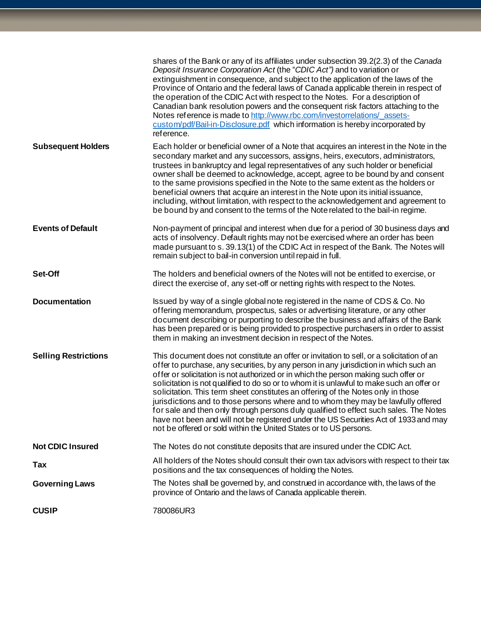|                             | shares of the Bank or any of its affiliates under subsection 39.2(2.3) of the Canada<br>Deposit Insurance Corporation Act (the "CDIC Act") and to variation or<br>extinguishment in consequence, and subject to the application of the laws of the<br>Province of Ontario and the federal laws of Canada applicable therein in respect of<br>the operation of the CDIC Act with respect to the Notes. For a description of<br>Canadian bank resolution powers and the consequent risk factors attaching to the<br>Notes reference is made to http://www.rbc.com/investorrelations/assets-<br>custom/pdf/Bail-in-Disclosure.pdf which information is hereby incorporated by<br>reference.                                                                                                              |
|-----------------------------|-------------------------------------------------------------------------------------------------------------------------------------------------------------------------------------------------------------------------------------------------------------------------------------------------------------------------------------------------------------------------------------------------------------------------------------------------------------------------------------------------------------------------------------------------------------------------------------------------------------------------------------------------------------------------------------------------------------------------------------------------------------------------------------------------------|
| <b>Subsequent Holders</b>   | Each holder or beneficial owner of a Note that acquires an interest in the Note in the<br>secondary market and any successors, assigns, heirs, executors, administrators,<br>trustees in bankruptcy and legal representatives of any such holder or beneficial<br>owner shall be deemed to acknowledge, accept, agree to be bound by and consent<br>to the same provisions specified in the Note to the same extent as the holders or<br>beneficial owners that acquire an interest in the Note upon its initial issuance,<br>including, without limitation, with respect to the acknowledgement and agreement to<br>be bound by and consent to the terms of the Note related to the bail-in regime.                                                                                                  |
| <b>Events of Default</b>    | Non-payment of principal and interest when due for a period of 30 business days and<br>acts of insolvency. Default rights may not be exercised where an order has been<br>made pursuant to s. 39.13(1) of the CDIC Act in respect of the Bank. The Notes will<br>remain subject to bail-in conversion until repaid in full.                                                                                                                                                                                                                                                                                                                                                                                                                                                                           |
| Set-Off                     | The holders and beneficial owners of the Notes will not be entitled to exercise, or<br>direct the exercise of, any set-off or netting rights with respect to the Notes.                                                                                                                                                                                                                                                                                                                                                                                                                                                                                                                                                                                                                               |
| <b>Documentation</b>        | Issued by way of a single global note registered in the name of CDS & Co. No<br>offering memorandum, prospectus, sales or advertising literature, or any other<br>document describing or purporting to describe the business and affairs of the Bank<br>has been prepared or is being provided to prospective purchasers in order to assist<br>them in making an investment decision in respect of the Notes.                                                                                                                                                                                                                                                                                                                                                                                         |
| <b>Selling Restrictions</b> | This document does not constitute an offer or invitation to sell, or a solicitation of an<br>offer to purchase, any securities, by any person in any jurisdiction in which such an<br>offer or solicitation is not authorized or in which the person making such offer or<br>solicitation is not qualified to do so or to whom it is unlawful to make such an offer or<br>solicitation. This term sheet constitutes an offering of the Notes only in those<br>jurisdictions and to those persons where and to whom they may be lawfully offered<br>for sale and then only through persons duly qualified to effect such sales. The Notes<br>have not been and will not be registered under the US Securities Act of 1933 and may<br>not be offered or sold within the United States or to US persons. |
| <b>Not CDIC Insured</b>     | The Notes do not constitute deposits that are insured under the CDIC Act.                                                                                                                                                                                                                                                                                                                                                                                                                                                                                                                                                                                                                                                                                                                             |
| Tax                         | All holders of the Notes should consult their own tax advisors with respect to their tax<br>positions and the tax consequences of holding the Notes.                                                                                                                                                                                                                                                                                                                                                                                                                                                                                                                                                                                                                                                  |
| <b>Governing Laws</b>       | The Notes shall be governed by, and construed in accordance with, the laws of the<br>province of Ontario and the laws of Canada applicable therein.                                                                                                                                                                                                                                                                                                                                                                                                                                                                                                                                                                                                                                                   |
| <b>CUSIP</b>                | 780086UR3                                                                                                                                                                                                                                                                                                                                                                                                                                                                                                                                                                                                                                                                                                                                                                                             |